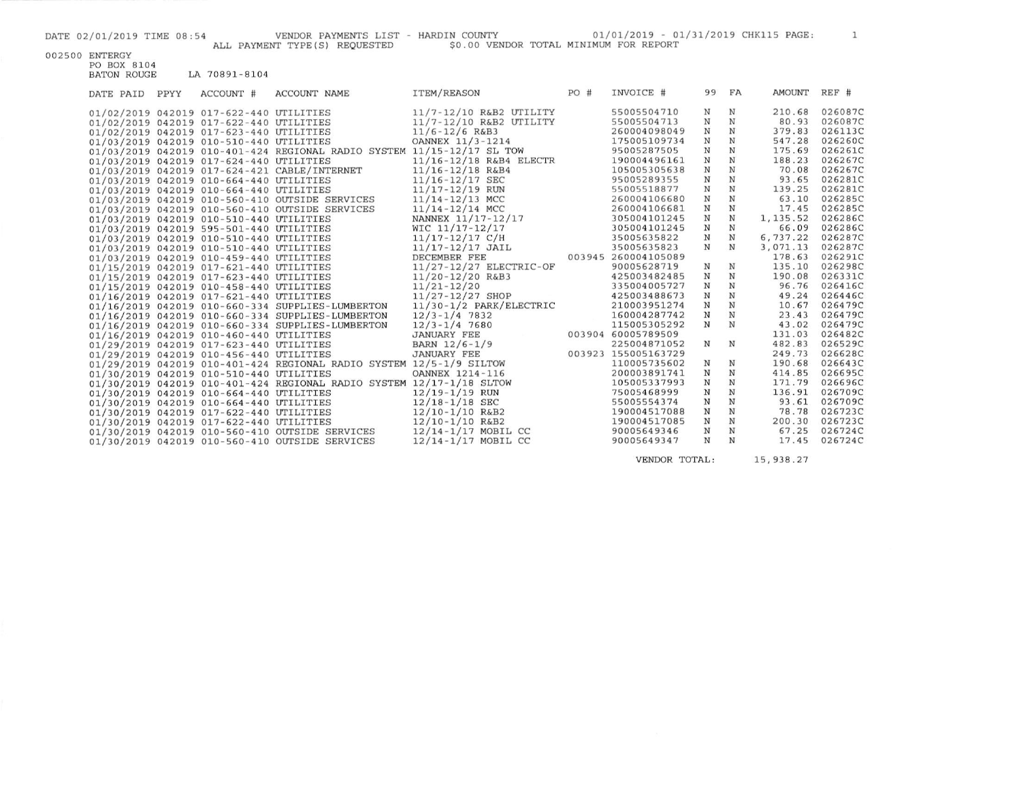DATE 02/01/2019 TIME 08:54 VENDOR PAYMENTS LIST - HARDIN COUNTY 01/01/2019 - 01/31/2019 CHK115 PAGE: 1<br>ALL PAYMENT TYPE(S) REQUESTED \$0.00 VENDOR TOTAL MINIMUM FOR REPORT

| 002500 ENTERGY |
|----------------|

PO BOX 8104<br>BATON ROUGE LA 70891-8104

| DATE PAID | PPYY | ACCOUNT #                               | <b>ACCOUNT NAME</b>                                                    | <b>ITEM/REASON</b>      | PO# | INVOICE #           | 99          | FA          | AMOUNT    | REF #   |
|-----------|------|-----------------------------------------|------------------------------------------------------------------------|-------------------------|-----|---------------------|-------------|-------------|-----------|---------|
|           |      | 01/02/2019 042019 017-622-440 UTILITIES |                                                                        | 11/7-12/10 R&B2 UTILITY |     | 55005504710         | N           | N           | 210.68    | 026087C |
|           |      | 01/02/2019 042019 017-622-440 UTILITIES |                                                                        | 11/7-12/10 R&B2 UTILITY |     | 55005504713         | N           | N           | 80.93     | 026087C |
|           |      | 01/02/2019 042019 017-623-440 UTILITIES |                                                                        | $11/6 - 12/6$ R&B3      |     | 260004098049        | N           | N           | 379.83    | 026113C |
|           |      | 01/03/2019 042019 010-510-440 UTILITIES |                                                                        | OANNEX 11/3-1214        |     | 175005109734        | $_{\rm N}$  | N           | 547.28    | 026260C |
|           |      |                                         | 01/03/2019 042019 010-401-424 REGIONAL RADIO SYSTEM 11/15-12/17 SL TOW |                         |     | 95005287505         | $_{\rm N}$  | $_{\rm N}$  | 175.69    | 026261C |
|           |      | 01/03/2019 042019 017-624-440 UTILITIES |                                                                        | 11/16-12/18 R&B4 ELECTR |     | 190004496161        | N           | $_{\rm N}$  | 188.23    | 026267C |
|           |      |                                         | 01/03/2019 042019 017-624-421 CABLE/INTERNET                           | $11/16 - 12/18$ R&B4    |     | 105005305638        | $_{\rm N}$  | N           | 70.08     | 026267C |
|           |      | 01/03/2019 042019 010-664-440 UTILITIES |                                                                        | $11/16 - 12/17$ SEC     |     | 95005289355         | $\mathbf N$ | $_{\rm N}$  | 93.65     | 026281C |
|           |      | 01/03/2019 042019 010-664-440 UTILITIES |                                                                        | $11/17 - 12/19$ RUN     |     | 55005518877         | N           | N           | 139.25    | 026281C |
|           |      |                                         | 01/03/2019 042019 010-560-410 OUTSIDE SERVICES                         | $11/14 - 12/13$ MCC     |     | 260004106680        | $\mathbf N$ | N           | 63.10     | 026285C |
|           |      |                                         | 01/03/2019 042019 010-560-410 OUTSIDE SERVICES                         | $11/14 - 12/14$ MCC     |     | 260004106681        | N           | $_{\rm N}$  | 17.45     | 026285C |
|           |      | 01/03/2019 042019 010-510-440 UTILITIES |                                                                        | NANNEX 11/17-12/17      |     | 305004101245        | N           | N           | 1, 135.52 | 026286C |
|           |      | 01/03/2019 042019 595-501-440 UTILITIES |                                                                        | WIC 11/17-12/17         |     | 305004101245        | $\mathbf N$ | N           | 66.09     | 026286C |
|           |      | 01/03/2019 042019 010-510-440 UTILITIES |                                                                        | $11/17 - 12/17$ C/H     |     | 35005635822         | $_{\rm N}$  | $_{\rm N}$  | 6,737.22  | 026287C |
|           |      | 01/03/2019 042019 010-510-440 UTILITIES |                                                                        | $11/17 - 12/17$ JAIL    |     | 35005635823         | N           | N           | 3,071.13  | 026287C |
|           |      | 01/03/2019 042019 010-459-440 UTILITIES |                                                                        | DECEMBER FEE            |     | 003945 260004105089 |             |             | 178.63    | 026291C |
|           |      | 01/15/2019 042019 017-621-440 UTILITIES |                                                                        | 11/27-12/27 ELECTRIC-OF |     | 90005628719         | N           | N           | 135.10    | 026298C |
|           |      | 01/15/2019 042019 017-623-440 UTILITIES |                                                                        | $11/20 - 12/20$ R&B3    |     | 425003482485        | N           | $_{\rm N}$  | 190.08    | 026331C |
|           |      | 01/15/2019 042019 010-458-440 UTILITIES |                                                                        | $11/21 - 12/20$         |     | 335004005727        | N           | $_{\rm N}$  | 96.76     | 026416C |
|           |      | 01/16/2019 042019 017-621-440 UTILITIES |                                                                        | 11/27-12/27 SHOP        |     | 425003488673        | $\mathbf N$ | N           | 49.24     | 026446C |
|           |      |                                         | 01/16/2019 042019 010-660-334 SUPPLIES-LUMBERTON                       | 11/30-1/2 PARK/ELECTRIC |     | 210003951274        | $_{\rm N}$  | $\mathbf N$ | 10.67     | 026479C |
|           |      |                                         | 01/16/2019 042019 010-660-334 SUPPLIES-LUMBERTON                       | $12/3 - 1/4$ 7832       |     | 160004287742        | $\mathbf N$ | $\mathbf N$ | 23.43     | 026479C |
|           |      |                                         | 01/16/2019 042019 010-660-334 SUPPLIES-LUMBERTON                       | $12/3 - 1/4$ 7680       |     | 115005305292        | $_{\rm N}$  | $\mathbf N$ | 43.02     | 026479C |
|           |      | 01/16/2019 042019 010-460-440 UTILITIES |                                                                        | <b>JANUARY FEE</b>      |     | 003904 60005789509  |             |             | 131.03    | 026482C |
|           |      | 01/29/2019 042019 017-623-440 UTILITIES |                                                                        | BARN 12/6-1/9           |     | 225004871052        | N           | N           | 482.83    | 026529C |
|           |      | 01/29/2019 042019 010-456-440 UTILITIES |                                                                        | <b>JANUARY FEE</b>      |     | 003923 155005163729 |             |             | 249.73    | 026628C |
|           |      |                                         | 01/29/2019 042019 010-401-424 REGIONAL RADIO SYSTEM 12/5-1/9 SILTOW    |                         |     | 110005735602        | N           | N           | 190.68    | 026643C |
|           |      | 01/30/2019 042019 010-510-440 UTILITIES |                                                                        | OANNEX 1214-116         |     | 200003891741        | $\mathbf N$ | N           | 414.85    | 026695C |
|           |      |                                         | 01/30/2019 042019 010-401-424 REGIONAL RADIO SYSTEM 12/17-1/18 SLTOW   |                         |     | 105005337993        | N           | $_{\rm N}$  | 171.79    | 026696C |
|           |      | 01/30/2019 042019 010-664-440 UTILITIES |                                                                        | $12/19 - 1/19$ RUN      |     | 75005468999         | N           | N           | 136.91    | 026709C |
|           |      | 01/30/2019 042019 010-664-440 UTILITIES |                                                                        | $12/18 - 1/18$ SEC      |     | 55005554374         | N           | $\mathbf N$ | 93.61     | 026709C |
|           |      | 01/30/2019 042019 017-622-440 UTILITIES |                                                                        | $12/10 - 1/10$ R&B2     |     | 190004517088        | $\mathbf N$ | N           | 78.78     | 026723C |
|           |      | 01/30/2019 042019 017-622-440 UTILITIES |                                                                        | $12/10 - 1/10$ R&B2     |     | 190004517085        | $\mathbf N$ | $_{\rm N}$  | 200.30    | 026723C |
|           |      |                                         | 01/30/2019 042019 010-560-410 OUTSIDE SERVICES                         | 12/14-1/17 MOBIL CC     |     | 90005649346         | $\mathbf N$ | N           | 67.25     | 026724C |
|           |      |                                         | 01/30/2019 042019 010-560-410 OUTSIDE SERVICES                         | $12/14 - 1/17$ MOBIL CC |     | 90005649347         | N           | N           | 17.45     | 026724C |
|           |      |                                         |                                                                        |                         |     |                     |             |             |           |         |

VENDOR TOTAL: 15,938.27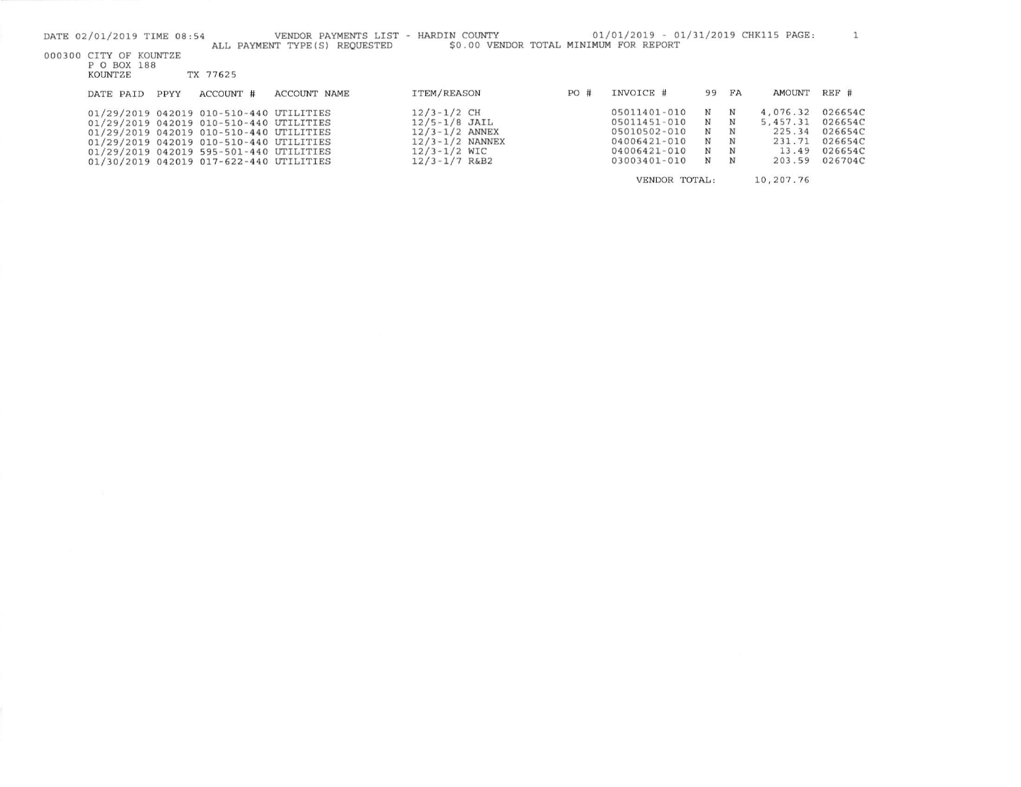| DATE 02/01/2019 TIME 08:54                       |      |                                                                                                                               | VENDOR PAYMENTS LIST - HARDIN COUNTY |                                                              |     | 01/01/2019 - 01/31/2019 CHK115 PAGE:         |             |             |                                |                               |
|--------------------------------------------------|------|-------------------------------------------------------------------------------------------------------------------------------|--------------------------------------|--------------------------------------------------------------|-----|----------------------------------------------|-------------|-------------|--------------------------------|-------------------------------|
| 000300 CITY OF KOUNTZE<br>P O BOX 188<br>KOUNTZE |      | TX 77625                                                                                                                      | ALL PAYMENT TYPE (S) REOUESTED       | \$0.00 VENDOR TOTAL MINIMUM FOR REPORT                       |     |                                              |             |             |                                |                               |
| DATE PAID                                        | PPYY | ACCOUNT #                                                                                                                     | ACCOUNT NAME                         | ITEM/REASON                                                  | PO# | INVOICE #                                    | 99          | FA          | <b>AMOUNT</b>                  | REF #                         |
|                                                  |      | 01/29/2019 042019 010-510-440 UTILITIES<br>01/29/2019 042019 010-510-440 UTILITIES<br>01/29/2019 042019 010-510-440 UTILITIES |                                      | $12/3 - 1/2$ CH<br>$12/5 - 1/8$ JAIL<br>$12/3 - 1/2$ ANNEX   |     | 05011401-010<br>05011451-010<br>05010502-010 | N<br>N<br>N | N<br>N<br>N | 4,076.32<br>5,457.31<br>225.34 | 026654C<br>026654C<br>026654C |
|                                                  |      | 01/29/2019 042019 010-510-440 UTILITIES<br>01/29/2019 042019 595-501-440 UTILITIES<br>01/30/2019 042019 017-622-440 UTILITIES |                                      | $12/3 - 1/2$ NANNEX<br>$12/3 - 1/2$ WIC<br>$12/3 - 1/7$ R&B2 |     | 04006421-010<br>04006421-010<br>03003401-010 | N<br>N<br>N | N<br>N<br>N | 231.71<br>13.49<br>203.59      | 026654C<br>026654C<br>026704C |
|                                                  |      |                                                                                                                               |                                      |                                                              |     | VENDOR TOTAL:                                |             |             | 10,207.76                      |                               |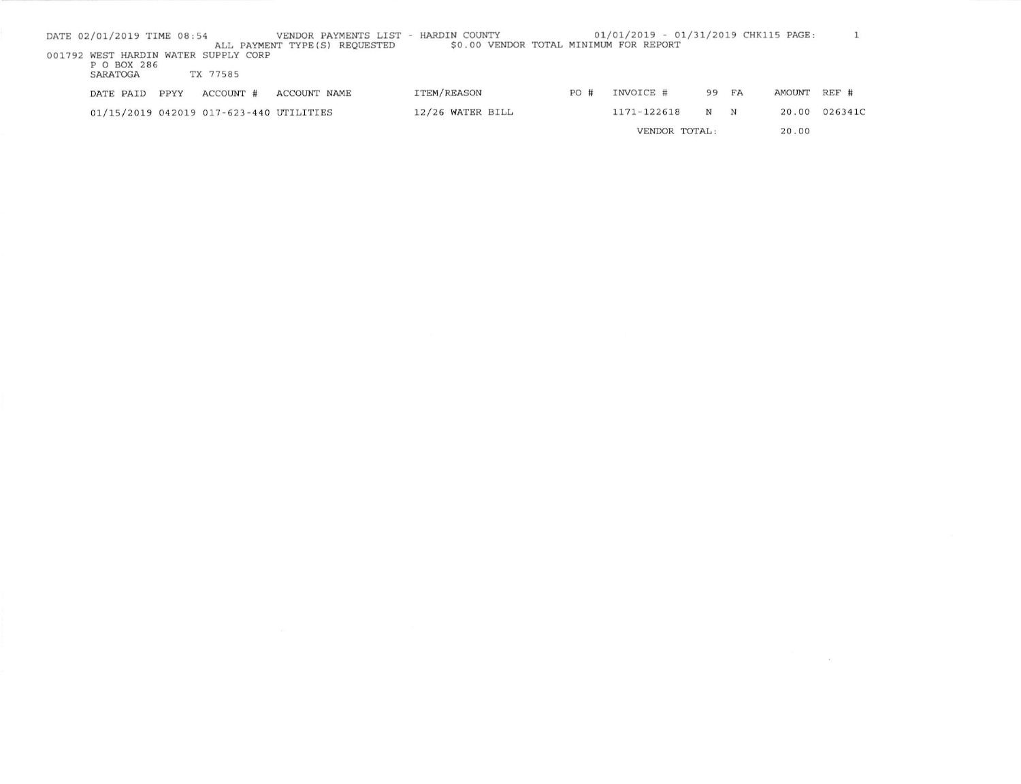| DATE 02/01/2019 TIME 08:54 |      |                                                  | VENDOR PAYMENTS LIST -<br>ALL PAYMENT TYPE (S) REOUESTED | HARDIN COUNTY<br>\$0.00 VENDOR TOTAL MINIMUM FOR REPORT |     | 01/01/2019 - 01/31/2019 CHK115 PAGE: |       |   |        |         |
|----------------------------|------|--------------------------------------------------|----------------------------------------------------------|---------------------------------------------------------|-----|--------------------------------------|-------|---|--------|---------|
| P O BOX 286<br>SARATOGA    |      | 001792 WEST HARDIN WATER SUPPLY CORP<br>TX 77585 |                                                          |                                                         |     |                                      |       |   |        |         |
| DATE PAID                  | PPYY | ACCOUNT #                                        | ACCOUNT NAME                                             | ITEM/REASON                                             | PO# | INVOICE #                            | 99 FA |   | AMOUNT | $REF$ # |
|                            |      | 01/15/2019 042019 017-623-440 UTILITIES          |                                                          | 12/26 WATER BILL                                        |     | 1171-122618                          | N     | N | 20.00  | 026341C |
|                            |      |                                                  |                                                          |                                                         |     | VENDOR TOTAL:                        |       |   | 20.00  |         |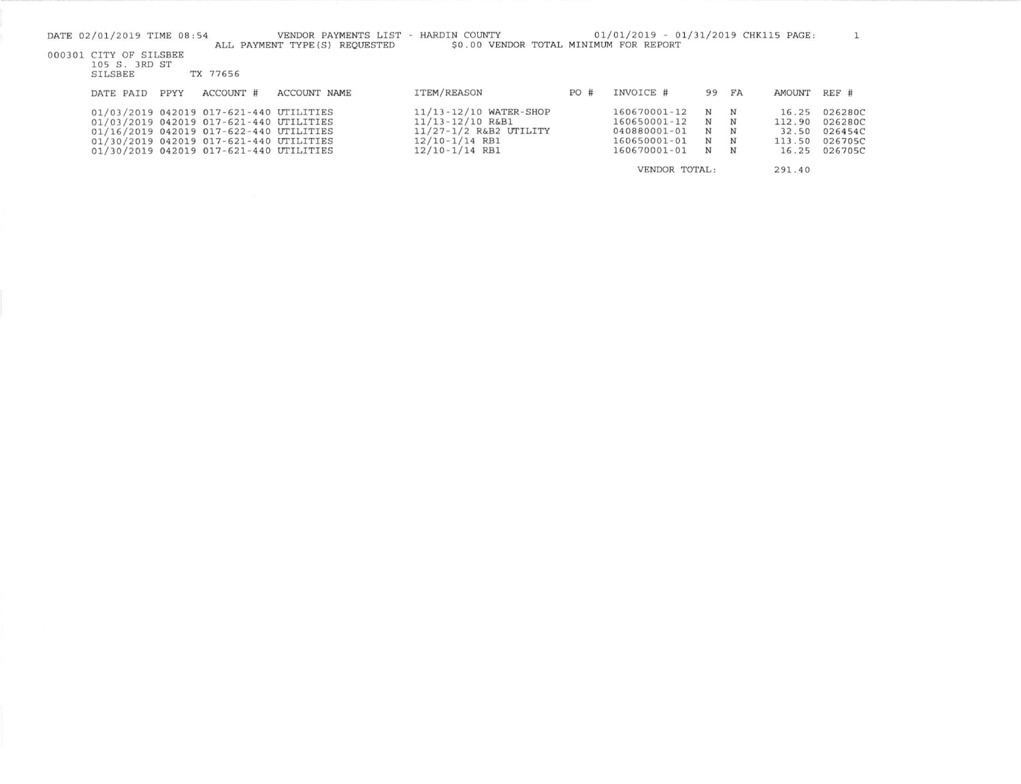| DATE 02/01/2019 TIME 08:54      |      |                                         | VENDOR PAYMENTS LIST - HARDIN COUNTY<br>ALL PAYMENT TYPE (S) REQUESTED | \$0.00 VENDOR TOTAL MINIMUM FOR REPORT |     | 01/01/2019 - 01/31/2019 CHK115 PAGE: |       |   |        |         |
|---------------------------------|------|-----------------------------------------|------------------------------------------------------------------------|----------------------------------------|-----|--------------------------------------|-------|---|--------|---------|
| 000301 CITY OF SILSBEE          |      |                                         |                                                                        |                                        |     |                                      |       |   |        |         |
| 105 S. 3RD ST<br><b>SILSBEE</b> |      | TX 77656                                |                                                                        |                                        |     |                                      |       |   |        |         |
| DATE PAID                       | PPYY | ACCOUNT #                               | ACCOUNT NAME                                                           | ITEM/REASON                            | PO# | INVOICE #                            | 99 FA |   | AMOUNT | $REF$ # |
|                                 |      | 01/03/2019 042019 017-621-440 UTILITIES |                                                                        | 11/13-12/10 WATER-SHOP                 |     | 160670001-12                         | N     | N | 16.25  | 026280C |
|                                 |      | 01/03/2019 042019 017-621-440 UTILITIES |                                                                        | $11/13 - 12/10$ R&B1                   |     | 160650001-12                         | N     | N | 112.90 | 026280C |
|                                 |      | 01/16/2019 042019 017-622-440 UTILITIES |                                                                        | 11/27-1/2 R&B2 UTILITY                 |     | 040880001-01                         | N     | N | 32.50  | 026454C |
|                                 |      | 01/30/2019 042019 017-621-440 UTILITIES |                                                                        | $12/10-1/14$ RB1                       |     | 160650001-01                         | N     | N | 113.50 | 026705C |
|                                 |      | 01/30/2019 042019 017-621-440 UTILITIES |                                                                        | $12/10-1/14$ RB1                       |     | 160670001-01                         | N     | N | 16.25  | 026705C |
|                                 |      |                                         |                                                                        |                                        |     | VENDOR TOTAL:                        |       |   | 291.40 |         |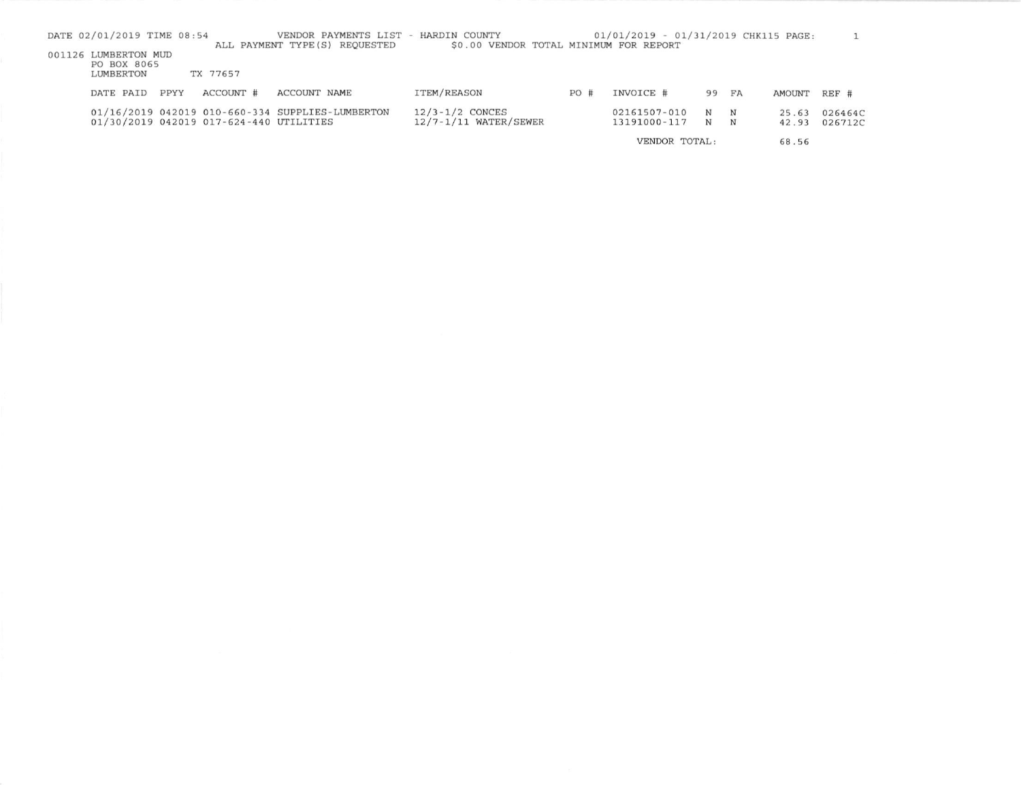| DATE 02/01/2019 TIME 08:54                       |      |                                         | VENDOR PAYMENTS LIST<br>ALL PAYMENT TYPE (S) REQUESTED | - HARDIN COUNTY<br>\$0.00 VENDOR TOTAL MINIMUM FOR REPORT |     | 01/01/2019 - 01/31/2019 CHK115 PAGE: |    |    |        |         |
|--------------------------------------------------|------|-----------------------------------------|--------------------------------------------------------|-----------------------------------------------------------|-----|--------------------------------------|----|----|--------|---------|
| 001126 LUMBERTON MUD<br>PO BOX 8065<br>LUMBERTON |      | TX 77657                                |                                                        |                                                           |     |                                      |    |    |        |         |
|                                                  |      |                                         |                                                        |                                                           |     |                                      |    |    |        |         |
| DATE PAID                                        | PPYY | ACCOUNT #                               | ACCOUNT NAME                                           | ITEM/REASON                                               | PO# | INVOICE #                            | 99 | FA | AMOUNT | REF #   |
|                                                  |      |                                         | 01/16/2019 042019 010-660-334 SUPPLIES-LUMBERTON       | $12/3 - 1/2$ CONCES                                       |     | 02161507-010                         | N  | N  | 25.63  | 026464C |
|                                                  |      | 01/30/2019 042019 017-624-440 UTILITIES |                                                        | $12/7 - 1/11$ WATER/SEWER                                 |     | 13191000-117                         | N  | N  | 42.93  | 026712C |
|                                                  |      |                                         |                                                        |                                                           |     | VENDOR TOTAL:                        |    |    | 68.56  |         |